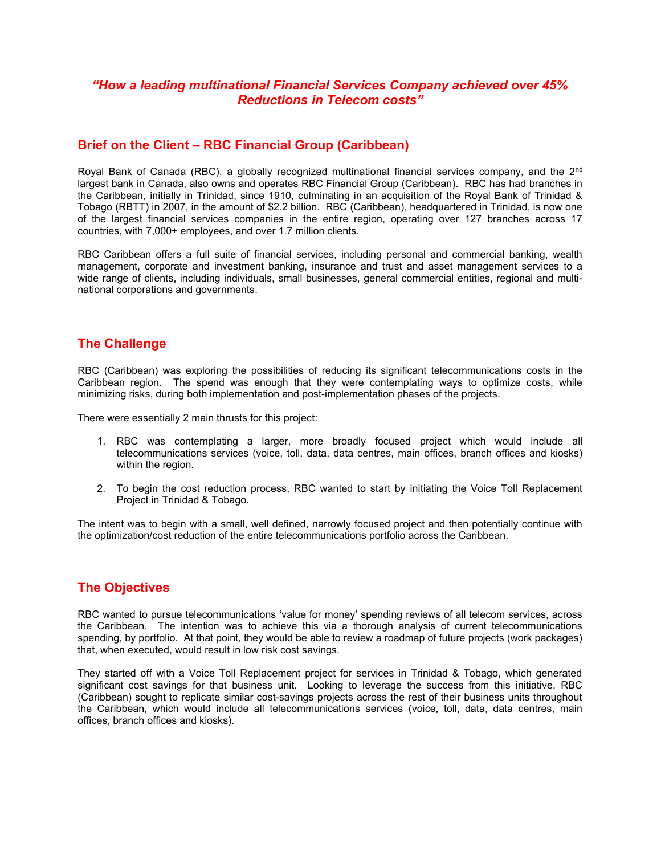### "How a leading multinational Financial Services Company achieved over 45% Reductions in Telecom costs"

### Brief on the Client – RBC Financial Group (Caribbean)

Royal Bank of Canada (RBC), a globally recognized multinational financial services company, and the 2<sup>nd</sup> largest bank in Canada, also owns and operates RBC Financial Group (Caribbean). RBC has had branches in the Caribbean, initially in Trinidad, since 1910, culminating in an acquisition of the Royal Bank of Trinidad & Tobago (RBTT) in 2007, in the amount of \$2.2 billion. RBC (Caribbean), headquartered in Trinidad, is now one of the largest financial services companies in the entire region, operating over 127 branches across 17 countries, with 7,000+ employees, and over 1.7 million clients.

RBC Caribbean offers a full suite of financial services, including personal and commercial banking, wealth management, corporate and investment banking, insurance and trust and asset management services to a wide range of clients, including individuals, small businesses, general commercial entities, regional and multinational corporations and governments.

#### The Challenge

RBC (Caribbean) was exploring the possibilities of reducing its significant telecommunications costs in the Caribbean region. The spend was enough that they were contemplating ways to optimize costs, while minimizing risks, during both implementation and post-implementation phases of the projects.

There were essentially 2 main thrusts for this project:

- 1. RBC was contemplating a larger, more broadly focused project which would include all telecommunications services (voice, toll, data, data centres, main offices, branch offices and kiosks) within the region.
- 2. To begin the cost reduction process, RBC wanted to start by initiating the Voice Toll Replacement Project in Trinidad & Tobago.

The intent was to begin with a small, well defined, narrowly focused project and then potentially continue with the optimization/cost reduction of the entire telecommunications portfolio across the Caribbean.

# The Objectives

RBC wanted to pursue telecommunications 'value for money' spending reviews of all telecom services, across the Caribbean. The intention was to achieve this via a thorough analysis of current telecommunications spending, by portfolio. At that point, they would be able to review a roadmap of future projects (work packages) that, when executed, would result in low risk cost savings.

They started off with a Voice Toll Replacement project for services in Trinidad & Tobago, which generated significant cost savings for that business unit. Looking to leverage the success from this initiative, RBC (Caribbean) sought to replicate similar cost-savings projects across the rest of their business units throughout the Caribbean, which would include all telecommunications services (voice, toll, data, data centres, main offices, branch offices and kiosks).